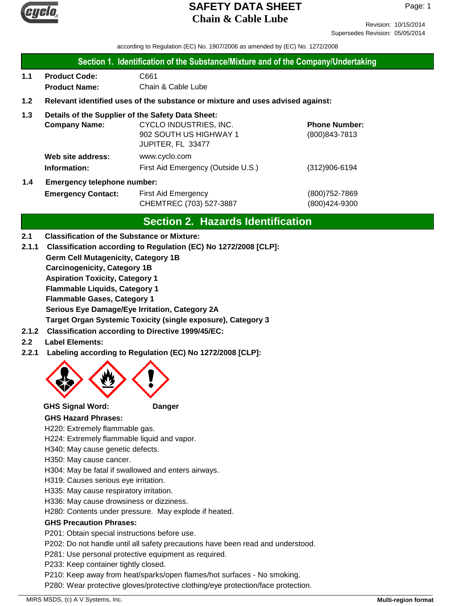

Revision: 10/15/2014 Supersedes Revision: 05/05/2014

according to Regulation (EC) No. 1907/2006 as amended by (EC) No. 1272/2008

#### **Section 1. Identification of the Substance/Mixture and of the Company/Undertaking**

**1.1 Product Code:** C661  **Product Name:** Chain & Cable Lube

#### **1.2 Relevant identified uses of the substance or mixture and uses advised against:**

#### **1.3 Details of the Supplier of the Safety Data Sheet:**

|     | <b>Company Name:</b>               | CYCLO INDUSTRIES, INC.             | <b>Phone Number:</b> |
|-----|------------------------------------|------------------------------------|----------------------|
|     |                                    | 902 SOUTH US HIGHWAY 1             | (800) 843-7813       |
|     |                                    | JUPITER, FL 33477                  |                      |
|     | Web site address:                  | www.cyclo.com                      |                      |
|     | Information:                       | First Aid Emergency (Outside U.S.) | $(312)906 - 6194$    |
| 1.4 | <b>Emergency telephone number:</b> |                                    |                      |

# **Emergency Contact:** First Aid Emergency **Emergency** (800)752-7869 CHEMTREC (703) 527-3887 (800)424-9300

## **Section 2. Hazards Identification**

#### **2.1 Classification of the Substance or Mixture:**

- **Germ Cell Mutagenicity, Category 1B Carcinogenicity, Category 1B Aspiration Toxicity, Category 1 Flammable Liquids, Category 1 Flammable Gases, Category 1 Serious Eye Damage/Eye Irritation, Category 2A Target Organ Systemic Toxicity (single exposure), Category 3 2.1.1 Classification according to Regulation (EC) No 1272/2008 [CLP]:**
- **2.1.2 Classification according to Directive 1999/45/EC:**
- **2.2 Label Elements:**
- **2.2.1 Labeling according to Regulation (EC) No 1272/2008 [CLP]:**



**GHS Signal Word: Danger**

#### **GHS Hazard Phrases:**

H220: Extremely flammable gas.

H224: Extremely flammable liquid and vapor.

- H340: May cause genetic defects.
- H350: May cause cancer.
- H304: May be fatal if swallowed and enters airways.
- H319: Causes serious eye irritation.
- H335: May cause respiratory irritation.
- H336: May cause drowsiness or dizziness.

H280: Contents under pressure. May explode if heated.

#### **GHS Precaution Phrases:**

P201: Obtain special instructions before use.

P202: Do not handle until all safety precautions have been read and understood.

P281: Use personal protective equipment as required.

P233: Keep container tightly closed.

P210: Keep away from heat/sparks/open flames/hot surfaces - No smoking.

P280: Wear protective gloves/protective clothing/eye protection/face protection.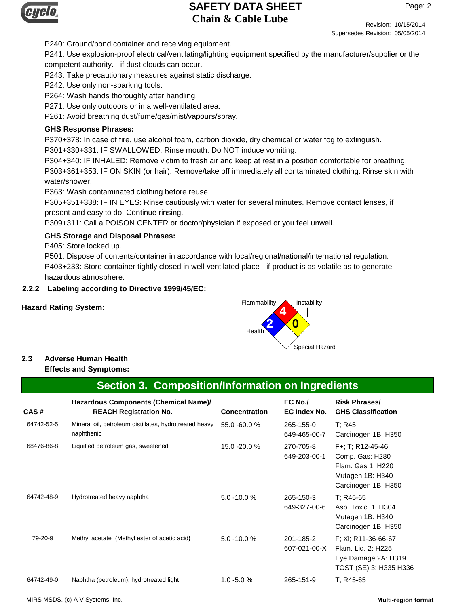

Page: 2

Revision: 10/15/2014 Supersedes Revision: 05/05/2014

P240: Ground/bond container and receiving equipment.

P241: Use explosion-proof electrical/ventilating/lighting equipment specified by the manufacturer/supplier or the competent authority. - if dust clouds can occur.

P243: Take precautionary measures against static discharge.

P242: Use only non-sparking tools.

P264: Wash hands thoroughly after handling.

P271: Use only outdoors or in a well-ventilated area.

P261: Avoid breathing dust/fume/gas/mist/vapours/spray.

#### **GHS Response Phrases:**

P370+378: In case of fire, use alcohol foam, carbon dioxide, dry chemical or water fog to extinguish.

P301+330+331: IF SWALLOWED: Rinse mouth. Do NOT induce vomiting.

P304+340: IF INHALED: Remove victim to fresh air and keep at rest in a position comfortable for breathing. P303+361+353: IF ON SKIN (or hair): Remove/take off immediately all contaminated clothing. Rinse skin with water/shower.

P363: Wash contaminated clothing before reuse.

P305+351+338: IF IN EYES: Rinse cautiously with water for several minutes. Remove contact lenses, if present and easy to do. Continue rinsing.

P309+311: Call a POISON CENTER or doctor/physician if exposed or you feel unwell.

#### **GHS Storage and Disposal Phrases:**

P405: Store locked up.

P501: Dispose of contents/container in accordance with local/regional/national/international regulation. P403+233: Store container tightly closed in well-ventilated place - if product is as volatile as to generate hazardous atmosphere.

#### **2.2.2 Labeling according to Directive 1999/45/EC:**



## **2.3 Adverse Human Health**

#### **Effects and Symptoms:**

## **Section 3. Composition/Information on Ingredients**

| CAS#       | Hazardous Components (Chemical Name)/<br><b>REACH Registration No.</b> | <b>Concentration</b> | $EC$ No./<br>EC Index No. | <b>Risk Phrases/</b><br><b>GHS Classification</b>                                                   |
|------------|------------------------------------------------------------------------|----------------------|---------------------------|-----------------------------------------------------------------------------------------------------|
| 64742-52-5 | Mineral oil, petroleum distillates, hydrotreated heavy<br>naphthenic   | 55.0 -60.0 %         | 265-155-0<br>649-465-00-7 | T: R45<br>Carcinogen 1B: H350                                                                       |
| 68476-86-8 | Liquified petroleum gas, sweetened                                     | 15.0 -20.0 %         | 270-705-8<br>649-203-00-1 | F+; T; R12-45-46<br>Comp. Gas: H280<br>Flam, Gas 1: H220<br>Mutagen 1B: H340<br>Carcinogen 1B: H350 |
| 64742-48-9 | Hydrotreated heavy naphtha                                             | $5.0 - 10.0 %$       | 265-150-3<br>649-327-00-6 | T: R45-65<br>Asp. Toxic. 1: H304<br>Mutagen 1B: H340<br>Carcinogen 1B: H350                         |
| 79-20-9    | Methyl acetate (Methyl ester of acetic acid)                           | $5.0 - 10.0 %$       | 201-185-2<br>607-021-00-X | F: Xi: R11-36-66-67<br>Flam. Lig. 2: H225<br>Eye Damage 2A: H319<br>TOST (SE) 3: H335 H336          |
| 64742-49-0 | Naphtha (petroleum), hydrotreated light                                | $1.0 - 5.0 %$        | 265-151-9                 | $T: R45-65$                                                                                         |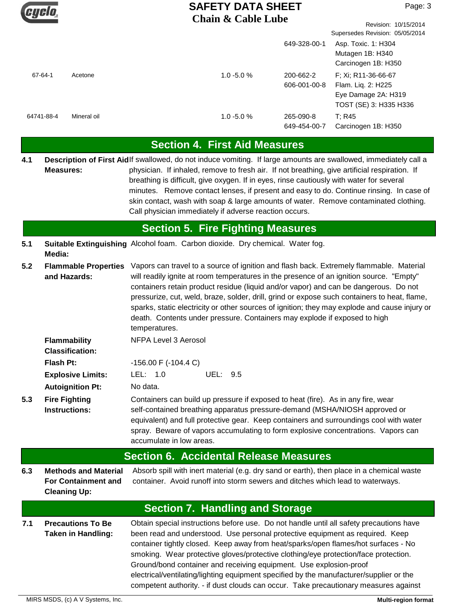

|            |             | Chain & Cabic Lube | 649-328-00-1              | Revision: 10/15/2014<br>Supersedes Revision: 05/05/2014<br>Asp. Toxic. 1: H304<br>Mutagen 1B: H340 |
|------------|-------------|--------------------|---------------------------|----------------------------------------------------------------------------------------------------|
| 67-64-1    | Acetone     | $1.0 - 5.0 %$      | 200-662-2<br>606-001-00-8 | Carcinogen 1B: H350<br>F: Xi: R11-36-66-67<br>Flam. Liq. 2: H225<br>Eye Damage 2A: H319            |
| 64741-88-4 | Mineral oil | $1.0 - 5.0 %$      | 265-090-8<br>649-454-00-7 | TOST (SE) 3: H335 H336<br>T: R45<br>Carcinogen 1B: H350                                            |

## **Section 4. First Aid Measures**

Description of First Aidlf swallowed, do not induce vomiting. If large amounts are swallowed, immediately call a physician. If inhaled, remove to fresh air. If not breathing, give artificial respiration. If breathing is difficult, give oxygen. If in eyes, rinse cautiously with water for several minutes. Remove contact lenses, if present and easy to do. Continue rinsing. In case of skin contact, wash with soap & large amounts of water. Remove contaminated clothing. Call physician immediately if adverse reaction occurs. **Measures: 4.1**

## **Section 5. Fire Fighting Measures**

**5.1 Suitable Extinguishing** Alcohol foam. Carbon dioxide. Dry chemical. Water fog. **Media:**

accumulate in low areas.

**5.2** Vapors can travel to a source of ignition and flash back. Extremely flammable. Material will readily ignite at room temperatures in the presence of an ignition source. "Empty" containers retain product residue (liquid and/or vapor) and can be dangerous. Do not pressurize, cut, weld, braze, solder, drill, grind or expose such containers to heat, flame, sparks, static electricity or other sources of ignition; they may explode and cause injury or death. Contents under pressure. Containers may explode if exposed to high temperatures. **Flammable Properties and Hazards:**

|     | Flammability<br><b>Classification:</b>       | NFPA Level 3 Aerosol                                                                                                                                                                                                                                                                                                                          |  |
|-----|----------------------------------------------|-----------------------------------------------------------------------------------------------------------------------------------------------------------------------------------------------------------------------------------------------------------------------------------------------------------------------------------------------|--|
|     | Flash Pt:                                    | $-156.00$ F ( $-104.4$ C)                                                                                                                                                                                                                                                                                                                     |  |
|     | <b>Explosive Limits:</b>                     | LEL: $1.0$<br>UEL: 9.5                                                                                                                                                                                                                                                                                                                        |  |
|     | <b>Autoignition Pt:</b>                      | No data.                                                                                                                                                                                                                                                                                                                                      |  |
| 5.3 | <b>Fire Fighting</b><br><b>Instructions:</b> | Containers can build up pressure if exposed to heat (fire). As in any fire, wear<br>self-contained breathing apparatus pressure-demand (MSHA/NIOSH approved or<br>equivalent) and full protective gear. Keep containers and surroundings cool with water<br>spray. Beware of vapors accumulating to form explosive concentrations. Vapors can |  |

#### **Section 6. Accidental Release Measures**

**6.3** Absorb spill with inert material (e.g. dry sand or earth), then place in a chemical waste container. Avoid runoff into storm sewers and ditches which lead to waterways. **Methods and Material For Containment and Cleaning Up:**

## **Section 7. Handling and Storage**

**7.1** Obtain special instructions before use. Do not handle until all safety precautions have been read and understood. Use personal protective equipment as required. Keep container tightly closed. Keep away from heat/sparks/open flames/hot surfaces - No smoking. Wear protective gloves/protective clothing/eye protection/face protection. Ground/bond container and receiving equipment. Use explosion-proof electrical/ventilating/lighting equipment specified by the manufacturer/supplier or the competent authority. - if dust clouds can occur. Take precautionary measures against **Precautions To Be Taken in Handling:**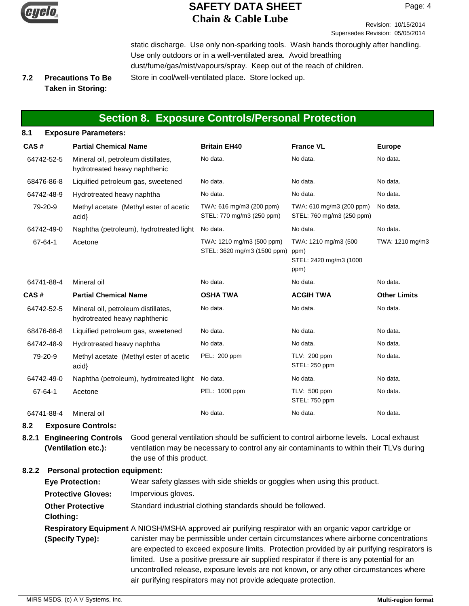

Revision: 10/15/2014 Supersedes Revision: 05/05/2014

static discharge. Use only non-sparking tools. Wash hands thoroughly after handling. Use only outdoors or in a well-ventilated area. Avoid breathing dust/fume/gas/mist/vapours/spray. Keep out of the reach of children. **Precautions To Be** Store in cool/well-ventilated place. Store locked up.

#### **7.2 Taken in Storing:**

## **Section 8. Exposure Controls/Personal Protection**

#### **8.1 Exposure Parameters:**

| CAS#       | <b>Partial Chemical Name</b>                                         | <b>Britain EH40</b>                                      | <b>France VL</b>                                               | <b>Europe</b>       |
|------------|----------------------------------------------------------------------|----------------------------------------------------------|----------------------------------------------------------------|---------------------|
| 64742-52-5 | Mineral oil, petroleum distillates,<br>hydrotreated heavy naphthenic | No data.                                                 | No data.                                                       | No data.            |
| 68476-86-8 | Liquified petroleum gas, sweetened                                   | No data.                                                 | No data.                                                       | No data.            |
| 64742-48-9 | Hydrotreated heavy naphtha                                           | No data.                                                 | No data.                                                       | No data.            |
| 79-20-9    | Methyl acetate (Methyl ester of acetic<br>acid                       | TWA: 616 mg/m3 (200 ppm)<br>STEL: 770 mg/m3 (250 ppm)    | TWA: 610 mg/m3 (200 ppm)<br>STEL: 760 mg/m3 (250 ppm)          | No data.            |
| 64742-49-0 | Naphtha (petroleum), hydrotreated light                              | No data.                                                 | No data.                                                       | No data.            |
| 67-64-1    | Acetone                                                              | TWA: 1210 mg/m3 (500 ppm)<br>STEL: 3620 mg/m3 (1500 ppm) | TWA: 1210 mg/m3 (500<br>ppm)<br>STEL: 2420 mg/m3 (1000<br>ppm) | TWA: 1210 mg/m3     |
| 64741-88-4 | Mineral oil                                                          | No data.                                                 | No data.                                                       | No data.            |
| CAS#       | <b>Partial Chemical Name</b>                                         | <b>OSHA TWA</b>                                          | <b>ACGIH TWA</b>                                               | <b>Other Limits</b> |
| 64742-52-5 | Mineral oil, petroleum distillates,<br>hydrotreated heavy naphthenic | No data.                                                 | No data.                                                       | No data.            |
| 68476-86-8 | Liquified petroleum gas, sweetened                                   | No data.                                                 | No data.                                                       | No data.            |
| 64742-48-9 | Hydrotreated heavy naphtha                                           | No data.                                                 | No data.                                                       | No data.            |
| 79-20-9    | Methyl acetate (Methyl ester of acetic<br>acid                       | PEL: 200 ppm                                             | TLV: 200 ppm<br>STEL: 250 ppm                                  | No data.            |
| 64742-49-0 | Naphtha (petroleum), hydrotreated light                              | No data.                                                 | No data.                                                       | No data.            |
| 67-64-1    | Acetone                                                              | PEL: 1000 ppm                                            | TLV: 500 ppm<br>STEL: 750 ppm                                  | No data.            |
| 64741-88-4 | Mineral oil                                                          | No data.                                                 | No data.                                                       | No data.            |

**8.2 Exposure Controls:**

**8.2.1 Engineering Controls** Good general ventilation should be sufficient to control airborne levels. Local exhaust ventilation may be necessary to control any air contaminants to within their TLVs during the use of this product. **(Ventilation etc.):**

#### **8.2.2 Personal protection equipment:**

| <b>Eye Protection:</b>               | Wear safety glasses with side shields or goggles when using this product.                                                                                                                                                                                                                                                                                                                                                                                                                                                                               |
|--------------------------------------|---------------------------------------------------------------------------------------------------------------------------------------------------------------------------------------------------------------------------------------------------------------------------------------------------------------------------------------------------------------------------------------------------------------------------------------------------------------------------------------------------------------------------------------------------------|
| <b>Protective Gloves:</b>            | Impervious gloves.                                                                                                                                                                                                                                                                                                                                                                                                                                                                                                                                      |
| <b>Other Protective</b><br>Clothing: | Standard industrial clothing standards should be followed.                                                                                                                                                                                                                                                                                                                                                                                                                                                                                              |
| (Specify Type):                      | Respiratory Equipment A NIOSH/MSHA approved air purifying respirator with an organic vapor cartridge or<br>canister may be permissible under certain circumstances where airborne concentrations<br>are expected to exceed exposure limits. Protection provided by air purifying respirators is<br>limited. Use a positive pressure air supplied respirator if there is any potential for an<br>uncontrolled release, exposure levels are not known, or any other circumstances where<br>air purifying respirators may not provide adequate protection. |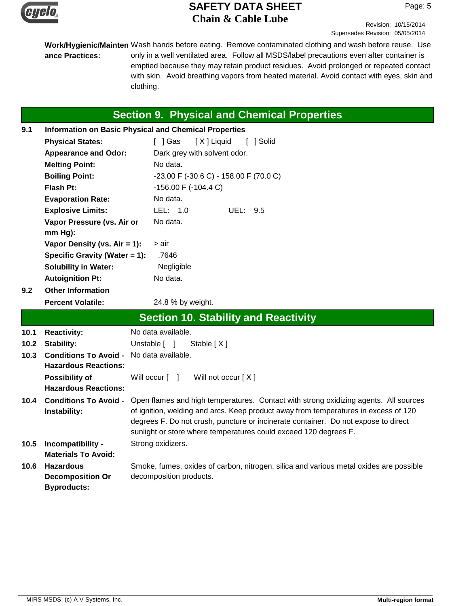

Revision: 10/15/2014 Supersedes Revision: 05/05/2014

Work/Hygienic/Mainten Wash hands before eating. Remove contaminated clothing and wash before reuse. Use only in a well ventilated area. Follow all MSDS/label precautions even after container is emptied because they may retain product residues. Avoid prolonged or repeated contact with skin. Avoid breathing vapors from heated material. Avoid contact with eyes, skin and clothing. **ance Practices:**

# **Section 9. Physical and Chemical Properties**

| 9.1  | <b>Information on Basic Physical and Chemical Properties</b> |                                                                                                                                                                                                                                                                                                                                       |  |
|------|--------------------------------------------------------------|---------------------------------------------------------------------------------------------------------------------------------------------------------------------------------------------------------------------------------------------------------------------------------------------------------------------------------------|--|
|      | <b>Physical States:</b>                                      | [ ] Gas<br>[X] Liquid<br>[ ] Solid                                                                                                                                                                                                                                                                                                    |  |
|      | <b>Appearance and Odor:</b>                                  | Dark grey with solvent odor.                                                                                                                                                                                                                                                                                                          |  |
|      | <b>Melting Point:</b>                                        | No data.                                                                                                                                                                                                                                                                                                                              |  |
|      | <b>Boiling Point:</b>                                        | -23.00 F (-30.6 C) - 158.00 F (70.0 C)                                                                                                                                                                                                                                                                                                |  |
|      | <b>Flash Pt:</b>                                             | $-156.00$ F $(-104.4$ C)                                                                                                                                                                                                                                                                                                              |  |
|      | <b>Evaporation Rate:</b>                                     | No data.                                                                                                                                                                                                                                                                                                                              |  |
|      | <b>Explosive Limits:</b>                                     | LEL: 1.0<br>UEL: 9.5                                                                                                                                                                                                                                                                                                                  |  |
|      | Vapor Pressure (vs. Air or<br>$mm Hg$ ):                     | No data.                                                                                                                                                                                                                                                                                                                              |  |
|      | Vapor Density (vs. $Air = 1$ ):                              | > air                                                                                                                                                                                                                                                                                                                                 |  |
|      | Specific Gravity (Water = 1):                                | .7646                                                                                                                                                                                                                                                                                                                                 |  |
|      | <b>Solubility in Water:</b>                                  | Negligible                                                                                                                                                                                                                                                                                                                            |  |
|      | <b>Autoignition Pt:</b>                                      | No data.                                                                                                                                                                                                                                                                                                                              |  |
| 9.2  | <b>Other Information</b>                                     |                                                                                                                                                                                                                                                                                                                                       |  |
|      |                                                              | 24.8 % by weight.                                                                                                                                                                                                                                                                                                                     |  |
|      | <b>Percent Volatile:</b>                                     |                                                                                                                                                                                                                                                                                                                                       |  |
|      |                                                              | <b>Section 10. Stability and Reactivity</b>                                                                                                                                                                                                                                                                                           |  |
| 10.1 | <b>Reactivity:</b>                                           | No data available.                                                                                                                                                                                                                                                                                                                    |  |
| 10.2 | <b>Stability:</b>                                            | Unstable [ ]<br>Stable $[X]$                                                                                                                                                                                                                                                                                                          |  |
| 10.3 | <b>Conditions To Avoid -</b><br><b>Hazardous Reactions:</b>  | No data available.                                                                                                                                                                                                                                                                                                                    |  |
|      | <b>Possibility of</b><br><b>Hazardous Reactions:</b>         | Will occur [ ]<br>Will not occur [X]                                                                                                                                                                                                                                                                                                  |  |
| 10.4 | <b>Conditions To Avoid -</b><br>Instability:                 | Open flames and high temperatures. Contact with strong oxidizing agents. All sources<br>of ignition, welding and arcs. Keep product away from temperatures in excess of 120<br>degrees F. Do not crush, puncture or incinerate container. Do not expose to direct<br>sunlight or store where temperatures could exceed 120 degrees F. |  |
| 10.5 | Incompatibility -<br><b>Materials To Avoid:</b>              | Strong oxidizers.                                                                                                                                                                                                                                                                                                                     |  |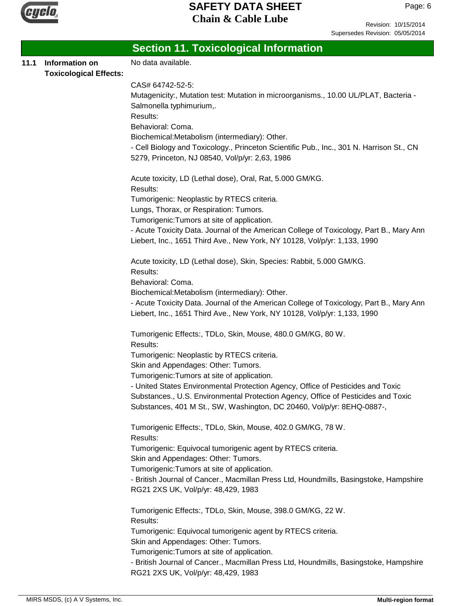

Revision: 10/15/2014 Supersedes Revision: 05/05/2014

| Information on<br><b>Toxicological Effects:</b> | No data available.                                                                                                                                                   |
|-------------------------------------------------|----------------------------------------------------------------------------------------------------------------------------------------------------------------------|
|                                                 |                                                                                                                                                                      |
|                                                 |                                                                                                                                                                      |
|                                                 | CAS# 64742-52-5:                                                                                                                                                     |
|                                                 | Mutagenicity:, Mutation test: Mutation in microorganisms., 10.00 UL/PLAT, Bacteria -                                                                                 |
|                                                 | Salmonella typhimurium,.                                                                                                                                             |
|                                                 | Results:                                                                                                                                                             |
|                                                 | Behavioral: Coma.                                                                                                                                                    |
|                                                 | Biochemical:Metabolism (intermediary): Other.                                                                                                                        |
|                                                 | - Cell Biology and Toxicology., Princeton Scientific Pub., Inc., 301 N. Harrison St., CN                                                                             |
|                                                 | 5279, Princeton, NJ 08540, Vol/p/yr: 2,63, 1986                                                                                                                      |
|                                                 | Acute toxicity, LD (Lethal dose), Oral, Rat, 5.000 GM/KG.                                                                                                            |
|                                                 | Results:                                                                                                                                                             |
|                                                 | Tumorigenic: Neoplastic by RTECS criteria.                                                                                                                           |
|                                                 | Lungs, Thorax, or Respiration: Tumors.                                                                                                                               |
|                                                 | Tumorigenic: Tumors at site of application.                                                                                                                          |
|                                                 | - Acute Toxicity Data. Journal of the American College of Toxicology, Part B., Mary Ann                                                                              |
|                                                 | Liebert, Inc., 1651 Third Ave., New York, NY 10128, Vol/p/yr: 1,133, 1990                                                                                            |
|                                                 | Acute toxicity, LD (Lethal dose), Skin, Species: Rabbit, 5.000 GM/KG.                                                                                                |
|                                                 | Results:                                                                                                                                                             |
|                                                 | Behavioral: Coma.                                                                                                                                                    |
|                                                 | Biochemical:Metabolism (intermediary): Other.                                                                                                                        |
|                                                 | - Acute Toxicity Data. Journal of the American College of Toxicology, Part B., Mary Ann<br>Liebert, Inc., 1651 Third Ave., New York, NY 10128, Vol/p/yr: 1,133, 1990 |
|                                                 | Tumorigenic Effects:, TDLo, Skin, Mouse, 480.0 GM/KG, 80 W.                                                                                                          |
|                                                 | Results:                                                                                                                                                             |
|                                                 | Tumorigenic: Neoplastic by RTECS criteria.                                                                                                                           |
|                                                 | Skin and Appendages: Other: Tumors.                                                                                                                                  |
|                                                 | Tumorigenic: Tumors at site of application.<br>- United States Environmental Protection Agency, Office of Pesticides and Toxic                                       |
|                                                 | Substances., U.S. Environmental Protection Agency, Office of Pesticides and Toxic                                                                                    |
|                                                 | Substances, 401 M St., SW, Washington, DC 20460, Vol/p/yr: 8EHQ-0887-,                                                                                               |
|                                                 | Tumorigenic Effects:, TDLo, Skin, Mouse, 402.0 GM/KG, 78 W.                                                                                                          |
|                                                 | Results:                                                                                                                                                             |
|                                                 | Tumorigenic: Equivocal tumorigenic agent by RTECS criteria.                                                                                                          |
|                                                 | Skin and Appendages: Other: Tumors.                                                                                                                                  |
|                                                 | Tumorigenic: Tumors at site of application.                                                                                                                          |
|                                                 | - British Journal of Cancer., Macmillan Press Ltd, Houndmills, Basingstoke, Hampshire<br>RG21 2XS UK, Vol/p/yr: 48,429, 1983                                         |
|                                                 | Tumorigenic Effects:, TDLo, Skin, Mouse, 398.0 GM/KG, 22 W.                                                                                                          |
|                                                 | Results:                                                                                                                                                             |
|                                                 | Tumorigenic: Equivocal tumorigenic agent by RTECS criteria.                                                                                                          |
|                                                 | Skin and Appendages: Other: Tumors.                                                                                                                                  |
|                                                 | Tumorigenic: Tumors at site of application.                                                                                                                          |
|                                                 | - British Journal of Cancer., Macmillan Press Ltd, Houndmills, Basingstoke, Hampshire                                                                                |
|                                                 | RG21 2XS UK, Vol/p/yr: 48,429, 1983                                                                                                                                  |
|                                                 |                                                                                                                                                                      |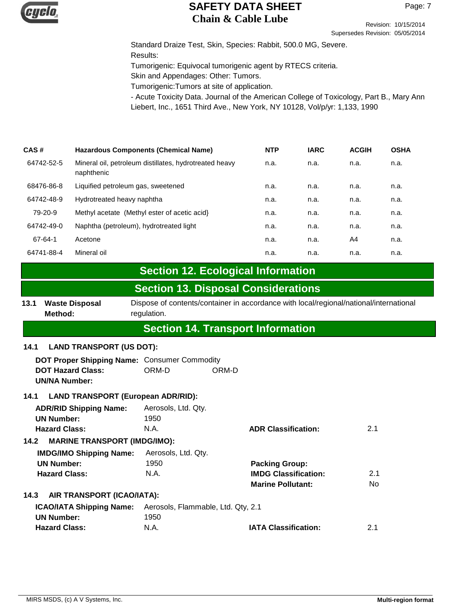

Revision: 10/15/2014 Supersedes Revision: 05/05/2014

Standard Draize Test, Skin, Species: Rabbit, 500.0 MG, Severe. Results: Tumorigenic: Equivocal tumorigenic agent by RTECS criteria. Skin and Appendages: Other: Tumors. Tumorigenic:Tumors at site of application.

- Acute Toxicity Data. Journal of the American College of Toxicology, Part B., Mary Ann Liebert, Inc., 1651 Third Ave., New York, NY 10128, Vol/p/yr: 1,133, 1990

| CAS#       | Hazardous Components (Chemical Name)                                 | <b>NTP</b> | <b>IARC</b> | <b>ACGIH</b> | <b>OSHA</b> |
|------------|----------------------------------------------------------------------|------------|-------------|--------------|-------------|
| 64742-52-5 | Mineral oil, petroleum distillates, hydrotreated heavy<br>naphthenic | n.a.       | n.a.        | n.a.         | n.a.        |
| 68476-86-8 | Liquified petroleum gas, sweetened                                   | n.a.       | n.a.        | n.a.         | n.a.        |
| 64742-48-9 | Hydrotreated heavy naphtha                                           | n.a.       | n.a.        | n.a.         | n.a.        |
| 79-20-9    | Methyl acetate (Methyl ester of acetic acid)                         | n.a.       | n.a.        | n.a.         | n.a.        |
| 64742-49-0 | Naphtha (petroleum), hydrotreated light                              | n.a.       | n.a.        | n.a.         | n.a.        |
| 67-64-1    | Acetone                                                              | n.a.       | n.a.        | A4           | n.a.        |
| 64741-88-4 | Mineral oil                                                          | n.a.       | n.a.        | n.a.         | n.a.        |

## **Section 12. Ecological Information**

## **Section 13. Disposal Considerations**

13.1 Waste Disposal Dispose of contents/container in accordance with local/regional/national/international regulation. **Waste Disposal Method:**

# **Section 14. Transport Information**

#### **14.1 LAND TRANSPORT (US DOT):**

| DOT Proper Shipping Name: Consumer Commodity |       |       |  |
|----------------------------------------------|-------|-------|--|
| <b>DOT Hazard Class:</b>                     | ORM-D | ORM-D |  |
| <b>UN/NA Number:</b>                         |       |       |  |

#### **14.1 LAND TRANSPORT (European ADR/RID):**

| <b>ADR/RID Shipping Name:</b><br><b>UN Number:</b><br><b>Hazard Class:</b> | Aerosols, Ltd. Qty.<br>1950<br>N.A. | <b>ADR Classification:</b>  | 2.1 |
|----------------------------------------------------------------------------|-------------------------------------|-----------------------------|-----|
| <b>MARINE TRANSPORT (IMDG/IMO):</b><br>14.2                                |                                     |                             |     |
| <b>IMDG/IMO Shipping Name:</b>                                             | Aerosols, Ltd. Qtv.                 |                             |     |
| <b>UN Number:</b>                                                          | 1950                                | <b>Packing Group:</b>       |     |
| <b>Hazard Class:</b>                                                       | N.A.                                | <b>IMDG Classification:</b> | 2.1 |
|                                                                            |                                     | <b>Marine Pollutant:</b>    | No. |
| AIR TRANSPORT (ICAO/IATA):<br>14.3                                         |                                     |                             |     |
| <b>ICAO/IATA Shipping Name:</b>                                            | Aerosols, Flammable, Ltd. Qty, 2.1  |                             |     |
| <b>UN Number:</b>                                                          | 1950                                |                             |     |
| <b>Hazard Class:</b>                                                       | N.A.                                | <b>IATA Classification:</b> | 2.1 |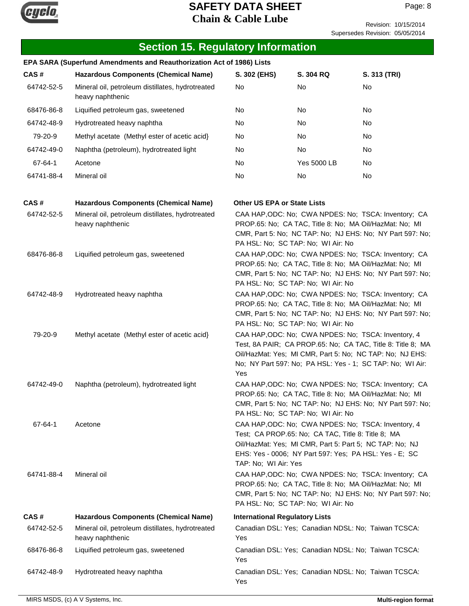

Revision: 10/15/2014 Supersedes Revision: 05/05/2014

| <b>Section 15. Regulatory Information</b> |                                                                       |                                                                                                                                                                                                                    |                                                                                                                                                                                                                                |                                                                                                                                                                                      |
|-------------------------------------------|-----------------------------------------------------------------------|--------------------------------------------------------------------------------------------------------------------------------------------------------------------------------------------------------------------|--------------------------------------------------------------------------------------------------------------------------------------------------------------------------------------------------------------------------------|--------------------------------------------------------------------------------------------------------------------------------------------------------------------------------------|
|                                           | EPA SARA (Superfund Amendments and Reauthorization Act of 1986) Lists |                                                                                                                                                                                                                    |                                                                                                                                                                                                                                |                                                                                                                                                                                      |
| CAS#                                      | <b>Hazardous Components (Chemical Name)</b>                           | S. 302 (EHS)                                                                                                                                                                                                       | S. 304 RQ                                                                                                                                                                                                                      | S. 313 (TRI)                                                                                                                                                                         |
| 64742-52-5                                | Mineral oil, petroleum distillates, hydrotreated<br>heavy naphthenic  | No                                                                                                                                                                                                                 | No                                                                                                                                                                                                                             | No                                                                                                                                                                                   |
| 68476-86-8                                | Liquified petroleum gas, sweetened                                    | No                                                                                                                                                                                                                 | No                                                                                                                                                                                                                             | No                                                                                                                                                                                   |
| 64742-48-9                                | Hydrotreated heavy naphtha                                            | No                                                                                                                                                                                                                 | No                                                                                                                                                                                                                             | No                                                                                                                                                                                   |
| 79-20-9                                   | Methyl acetate (Methyl ester of acetic acid)                          | No                                                                                                                                                                                                                 | No                                                                                                                                                                                                                             | No                                                                                                                                                                                   |
| 64742-49-0                                | Naphtha (petroleum), hydrotreated light                               | No                                                                                                                                                                                                                 | No                                                                                                                                                                                                                             | No                                                                                                                                                                                   |
| 67-64-1                                   | Acetone                                                               | No                                                                                                                                                                                                                 | Yes 5000 LB                                                                                                                                                                                                                    | No                                                                                                                                                                                   |
| 64741-88-4                                | Mineral oil                                                           | No                                                                                                                                                                                                                 | No                                                                                                                                                                                                                             | No                                                                                                                                                                                   |
| CAS#                                      | <b>Hazardous Components (Chemical Name)</b>                           | <b>Other US EPA or State Lists</b>                                                                                                                                                                                 |                                                                                                                                                                                                                                |                                                                                                                                                                                      |
| 64742-52-5                                | Mineral oil, petroleum distillates, hydrotreated<br>heavy naphthenic  |                                                                                                                                                                                                                    | PROP.65: No; CA TAC, Title 8: No; MA Oil/HazMat: No; MI<br>PA HSL: No; SC TAP: No; WI Air: No                                                                                                                                  | CAA HAP, ODC: No; CWA NPDES: No; TSCA: Inventory; CA<br>CMR, Part 5: No; NC TAP: No; NJ EHS: No; NY Part 597: No;                                                                    |
| 68476-86-8                                | Liquified petroleum gas, sweetened                                    | CAA HAP, ODC: No; CWA NPDES: No; TSCA: Inventory; CA<br>PROP.65: No; CA TAC, Title 8: No; MA Oil/HazMat: No; MI<br>CMR, Part 5: No; NC TAP: No; NJ EHS: No; NY Part 597: No;<br>PA HSL: No; SC TAP: No; WI Air: No |                                                                                                                                                                                                                                |                                                                                                                                                                                      |
| 64742-48-9                                | Hydrotreated heavy naphtha                                            |                                                                                                                                                                                                                    | PROP.65: No; CA TAC, Title 8: No; MA Oil/HazMat: No; MI<br>PA HSL: No; SC TAP: No; WI Air: No                                                                                                                                  | CAA HAP, ODC: No; CWA NPDES: No; TSCA: Inventory; CA<br>CMR, Part 5: No; NC TAP: No; NJ EHS: No; NY Part 597: No;                                                                    |
| 79-20-9                                   | Methyl acetate (Methyl ester of acetic acid)                          | Yes                                                                                                                                                                                                                | CAA HAP, ODC: No; CWA NPDES: No; TSCA: Inventory, 4                                                                                                                                                                            | Test, 8A PAIR; CA PROP.65: No; CA TAC, Title 8: Title 8; MA<br>Oil/HazMat: Yes; MI CMR, Part 5: No; NC TAP: No; NJ EHS:<br>No; NY Part 597: No; PA HSL: Yes - 1; SC TAP: No; WI Air: |
| 64742-49-0                                | Naphtha (petroleum), hydrotreated light                               |                                                                                                                                                                                                                    | PROP.65: No; CA TAC, Title 8: No; MA Oil/HazMat: No; MI<br>PA HSL: No; SC TAP: No; WI Air: No                                                                                                                                  | CAA HAP, ODC: No; CWA NPDES: No; TSCA: Inventory; CA<br>CMR, Part 5: No; NC TAP: No; NJ EHS: No; NY Part 597: No;                                                                    |
| 67-64-1                                   | Acetone                                                               | TAP: No; WI Air: Yes                                                                                                                                                                                               | CAA HAP, ODC: No; CWA NPDES: No; TSCA: Inventory, 4<br>Test; CA PROP.65: No; CA TAC, Title 8: Title 8; MA<br>Oil/HazMat: Yes; MI CMR, Part 5: Part 5; NC TAP: No; NJ<br>EHS: Yes - 0006; NY Part 597: Yes; PA HSL: Yes - E; SC |                                                                                                                                                                                      |
| 64741-88-4                                | Mineral oil                                                           |                                                                                                                                                                                                                    | PROP.65: No; CA TAC, Title 8: No; MA Oil/HazMat: No; MI<br>PA HSL: No; SC TAP: No; WI Air: No                                                                                                                                  | CAA HAP, ODC: No; CWA NPDES: No; TSCA: Inventory; CA<br>CMR, Part 5: No; NC TAP: No; NJ EHS: No; NY Part 597: No;                                                                    |
| CAS#                                      | <b>Hazardous Components (Chemical Name)</b>                           | <b>International Regulatory Lists</b>                                                                                                                                                                              |                                                                                                                                                                                                                                |                                                                                                                                                                                      |
| 64742-52-5                                | Mineral oil, petroleum distillates, hydrotreated<br>heavy naphthenic  | Yes                                                                                                                                                                                                                | Canadian DSL: Yes; Canadian NDSL: No; Taiwan TCSCA:                                                                                                                                                                            |                                                                                                                                                                                      |
| 68476-86-8                                | Liquified petroleum gas, sweetened                                    | Yes                                                                                                                                                                                                                | Canadian DSL: Yes; Canadian NDSL: No; Taiwan TCSCA:                                                                                                                                                                            |                                                                                                                                                                                      |
| 64742-48-9                                | Hydrotreated heavy naphtha                                            | Yes                                                                                                                                                                                                                | Canadian DSL: Yes; Canadian NDSL: No; Taiwan TCSCA:                                                                                                                                                                            |                                                                                                                                                                                      |